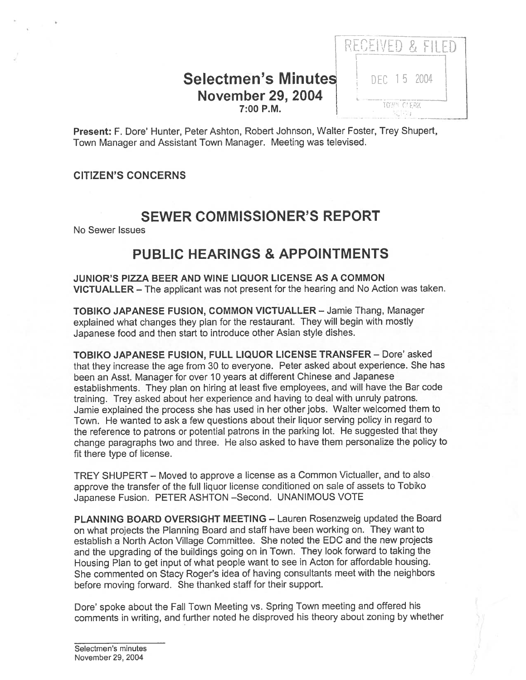### Selectmen's Minutes DEC 15 2004 November 29, 2004 7:00 P.M.



Present: F. Dote' Hunter, Peter Ashton, Robert Johnson, Walter Foster, Trey Shupert, Town Manager and Assistant Town Manager. Meeting was televised.

### CITIZEN'S CONCERNS

## SEWER COMMISSIONER'S REPORT

No Sewer Issues

## PUBLIC HEARINGS & APPOINTMENTS

JUNIOR'S PIZZA BEER AND WINE LIQUOR LICENSE AS A COMMON VICTUALLER — The applicant was not presen<sup>t</sup> for the hearing and No Action was taken.

TOBIKO JAPANESE FUSION, COMMON VICTUALLER — Jamie Thang, Manager explained what changes they <sup>p</sup>lan for the restaurant. They will begin with mostly Japanese food and then start to introduce other Asian style dishes.

TOBIKO JAPANESE FUSION, FULL LIQUOR LICENSE TRANSFER — Dote' asked that they increase the age from <sup>30</sup> to everyone. Peter asked about experience. She has been an Asst. Manager for over 10 years at different Chinese and Japanese establishments. They <sup>p</sup>lan on hiring at least five employees, and will have the Bar code training. Trey asked about her experience and having to deal with unruly patrons. Jamie explained the process she has used in her other jobs. Walter welcomed them to Town. He wanted to ask <sup>a</sup> few questions about their liquor serving policy in regard to the reference to patrons or potential patrons in the parking lot. He suggested that they change paragraphs two and three. He also asked to have them personalize the policy to fit there type of license.

TREY SHUPERT — Moved to approve <sup>a</sup> license as <sup>a</sup> Common Victualler, and to also approve the transfer of the full liquor license conditioned on sale of assets to Tobiko Japanese Fusion. PETER ASHTON —Second. UNANIMOUS VOTE

PLANNING BOARD OVERSIGHT MEETING — Lauren Rosenzweig updated the Board on what projects the Planning Board and staff have been working on. They want to establish <sup>a</sup> North Acton Village Committee. She noted the EDC and the new projects and the upgrading of the buildings going on in Town. They look forward to taking the Housing Plan to ge<sup>t</sup> input of what people want to see in Acton for affordable housing. She commented on Stacy Roger's idea of having consultants meet with the neighbors before moving forward. She thanked staff for their support.

Dore' spoke about the Fall Town Meeting vs. Spring Town meeting and offered his comments in writing, and further noted he disproved his theory about zoning by whether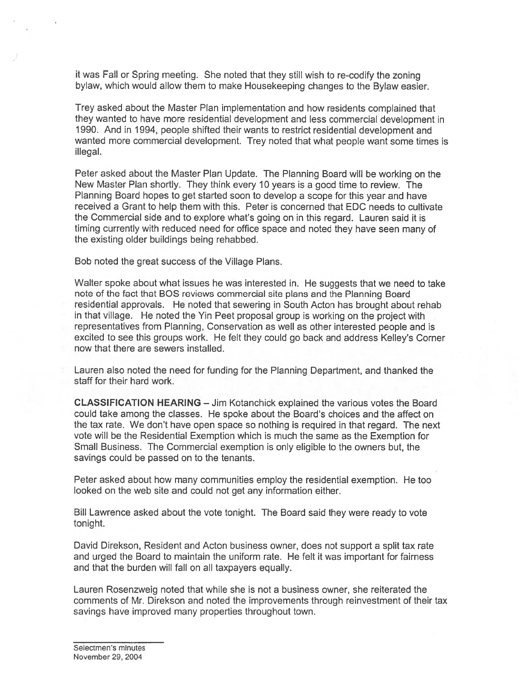it was Fall or Spring meeting. She noted that they still wish to re-codify the zoning bylaw, which would allow them to make Housekeeping changes to the Bylaw easier.

Trey asked about the Master Plan implementation and how residents complained that they wanted to have more residential development and less commercial development in 1990. And in 1994, people shifted their wants to restrict residential development and wanted more commercial development. Trey noted that what people want some times is illegal.

Peter asked about the Master Plan Update. The Planning Board will be working on the New Master Plan shortly. They think every 10 years is <sup>a</sup> good time to review. The Planning Board hopes to ge<sup>t</sup> started soon to develop <sup>a</sup> scope for this year and have received <sup>a</sup> Grant to help them with this. Peter is concerned that EDC needs to cultivate the Commercial side and to explore what's going on in this regard. Lauren said it is timing currently with reduced need for office space and noted they have seen many of the existing older buildings being rehabbed.

Bob noted the grea<sup>t</sup> success of the Village Plans.

Walter spoke about what issues he was interested in. He suggests that we need to take note of the fact that EQS reviews commercial site plans and the Planning Board residential approvals. He noted that sewering in South Acton has brought about rehab in that village. He noted the Yin Peet proposal group is working on the project with representatives from Planning, Conservation as well as other interested people and is excited to see this groups work. He felt they could go back and address Kelley's Cornet now that there are sewers installed.

Lauren also noted the need for funding for the Planning Department, and thanked the staff for their hard work.

CLASSIFICATION HEARING — Jim Kotanchick explained the various votes the Board could take among the classes. He spoke about the Board's choices and the affect on the tax rate. We don't have open space so nothing is required in that regard. The next vote will be the Residential Exemption which is much the same as the Exemption for Small Business. The Commercial exemption is only eligible to the owners but, the savings could be passed on to the tenants.

Peter asked about how many communities employ the residential exemption. He too looked on the web site and could not ge<sup>t</sup> any information either.

Bill Lawrence asked about the vote tonight. The Board said they were ready to vote tonight.

David Direkson, Resident and Acton business owner, does not suppor<sup>t</sup> <sup>a</sup> split tax rate and urged the Board to maintain the uniform rate. He felt it was important for fairness and that the burden will fall on all taxpayers equally.

Lauren Rosenzweig noted that while she is not <sup>a</sup> business owner, she reiterated the comments of Mr. Direkson and noted the improvements through reinvestment of their tax savings have improved many properties throughout town.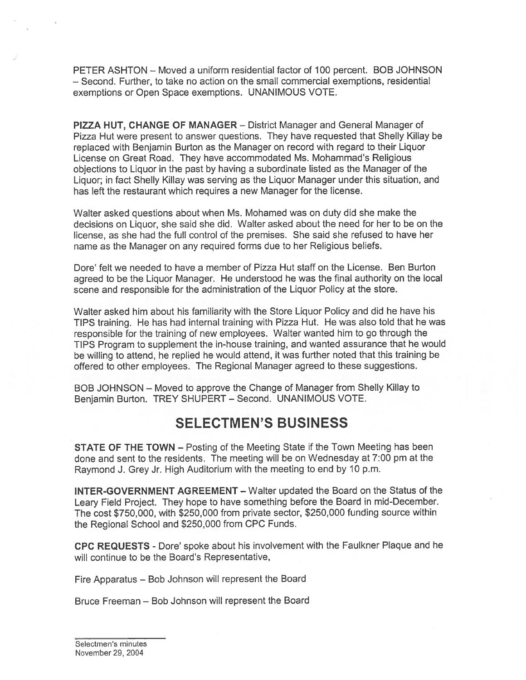PETER ASHTON — Moved <sup>a</sup> uniform residential factor of 100 percent. BOB JOHNSON — Second. Further, to take no action on the small commercial exemptions, residential exemptions or Open Space exemptions. UNANIMOUS VOTE.

PIZZA HUT, CHANGE OF MANAGER — District Manager and General Manager of Pizza Hut were presen<sup>t</sup> to answer questions. They have requested that Shelly Killay be replaced with Benjamin Burton as the Manager on record with regard to their Liquor License on Great Road. They have accommodated Ms. Mohammad's Religious objections to Liquor in the pas<sup>t</sup> by having <sup>a</sup> subordinate listed as the Manager of the Liquor; in fact Shelly Killay was serving as the Liquor Manager under this situation, and has left the restaurant which requires <sup>a</sup> new Manager for the license.

Walter asked questions about when Ms. Mohamed was on duty did she make the decisions on Liquor, she said she did. Walter asked about the need for her to be on the license, as she had the full control of the premises. She said she refused to have her name as the Manager on any required forms due to her Religious beliefs.

Dore' felt we needed to have <sup>a</sup> member of Pizza Hut staff on the License. Ben Burton agreed to be the Liquor Manager. He understood he was the final authority on the local scene and responsible for the administration of the Liquor Policy at the store.

Walter asked him about his familiarity with the Store Liquor Policy and did he have his TIPS training. He has had internal training with Pizza Hut. He was also told that he was responsible for the training of new employees. Walter wanted him to go through the TIPS Program to supplement the in-house training, and wanted assurance that he would be willing to attend, he replied he would attend, it was further noted that this training be offered to other employees. The Regional Manager agreed to these suggestions.

BOB JOHNSON — Moved to approve the Change of Manager from Shelly Killay to Benjamin Burton. TREY SHUPERT — Second. UNANIMOUS VOTE.

### SELECTMEN'S BUSINESS

STATE OF THE TOWN — Posting of the Meeting State if the Town Meeting has been done and sent to the residents. The meeting will be on Wednesday at 7:00 pm at the Raymond J. Grey Jr. High Auditorium with the meeting to end by 10 p.m.

INTER-GOVERNMENT AGREEMENT — Walter updated the Board on the Status of the Leary Field Project. They hope to have something before the Board in mid-December. The cost \$750,000, with \$250,000 from private sector, \$250,000 funding source within the Regional School and \$250,000 from CPC Funds.

CPC REQUESTS - Dote' spoke about his involvement with the Faulkner Plaque and he will continue to be the Board's Representative,

Fire Apparatus — Bob Johnson will represen<sup>t</sup> the Board

Bruce Freeman — Bob Johnson will represen<sup>t</sup> the Board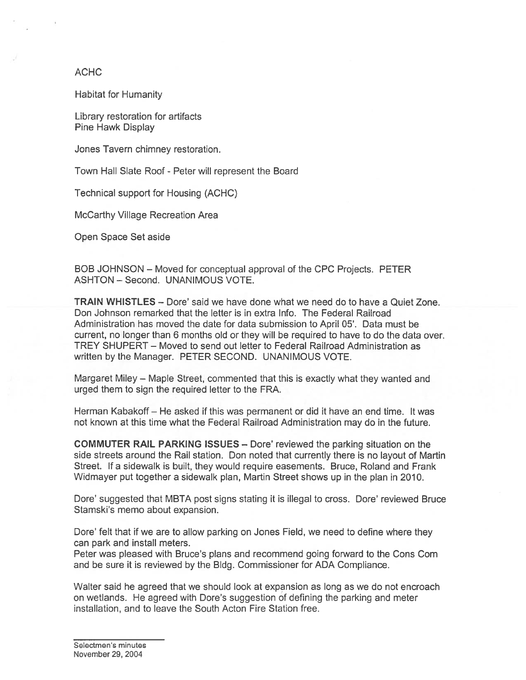#### ACHC

Habitat for Humanity

Library restoration for artifacts Pine Hawk Display

Jones Tavern chimney restoration.

Town Hall Slate Roof - Peter will represen<sup>t</sup> the Board

Technical suppor<sup>t</sup> for Housing (ACHC)

McCarthy Village Recreation Area

Open Space Set aside

BOB JOHNSON — Moved for conceptual approval of the CPC Projects. PETER ASHTON — Second. UNANIMOUS VOTE.

TRAIN WHISTLES — Dore' said we have done what we need do to have <sup>a</sup> Quiet Zone. Don Johnson remarked that the letter is in extra Info. The Federal Railroad Administration has moved the date for data submission to April 05'. Data must be current, no longer than 6 months old or they will be required to have to do the data over. TREY SHUPERT — Moved to send out letter to Federal Railroad Administration as written by the Manager. PETER SECOND. UNANIMOUS VOTE.

Margaret Miley — Maple Street, commented that this is exactly what they wanted and urged them to sign the required letter to the FRA.

Herman Kabakoff — He asked if this was permanen<sup>t</sup> or did it have an end time. It was not known at this time what the Federal Railroad Administration may do in the future.

COMMUTER RAIL PARKING ISSUES — Dore' reviewed the parking situation on the side streets around the Rail station. Don noted that currently there is no layout of Martin Street. If <sup>a</sup> sidewalk is built, they would require easements. Bruce, Roland and Frank Widmayer pu<sup>t</sup> together <sup>a</sup> sidewalk plan, Martin Street shows up in the plan in 2010.

Dore' suggested that MBTA pos<sup>t</sup> signs stating it is illegal to cross. Dore' reviewed Bruce Stamski's memo about expansion.

Dore' felt that if we are to allow parking on Jones Field, we need to define where they can park and install meters.

Peter was pleased with Bruce's plans and recommend going forward to the Cons Corn and be sure it is reviewed by the Bldg. Commissioner for ADA Compliance.

Walter said he agreed that we should look at expansion as long as we do not encroach on wetlands. He agreed with Dore's suggestion of defining the parking and meter installation, and to leave the South Acton Fire Station free.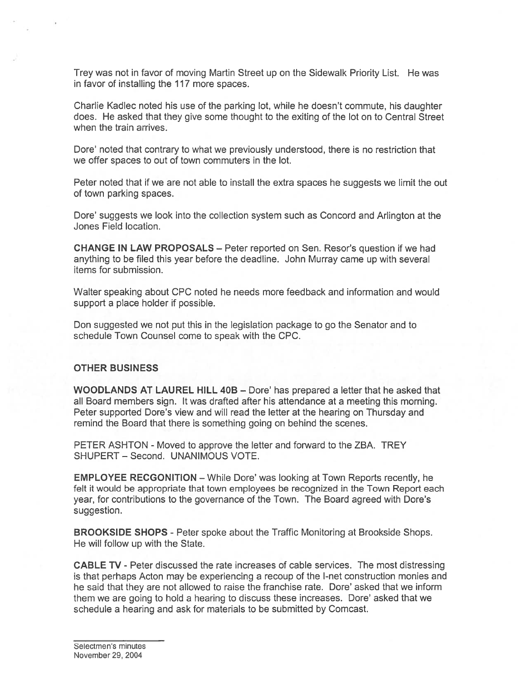Trey was not in favor of moving Martin Street up on the Sidewalk Priority List. He was in favor of installing the 117 more spaces.

Charlie Kadlec noted his use of the parking lot, while he doesn't commute, his daughter does. He asked that they give some thought to the exiting of the lot on to Central Street when the train arrives.

Dore' noted that contrary to what we previously understood, there is no restriction that we offer spaces to out of town commuters in the lot.

Peter noted that if we are not able to install the extra spaces he suggests we limit the out of town parking spaces.

Dote' suggests we look into the collection system such as Concord and Arlington at the Jones Field location.

CHANGE IN LAW PROPOSALS — Peter reported on Sen. Resor's question if we had anything to be filed this year before the deadline. John Murray came up with several items for submission.

Walter speaking about CPC noted he needs more feedback and information and would suppor<sup>t</sup> <sup>a</sup> place holder if possible.

Don suggested we not pu<sup>t</sup> this in the legislation package to go the Senator and to schedule Town Counsel come to speak with the CPC.

#### OTHER BUSINESS

WOODLANDS AT LAUREL HILL 40B — Dote' has prepared <sup>a</sup> letter that he asked that all Board members sign. It was drafted after his attendance at <sup>a</sup> meeting this morning. Peter supported Dore's view and will read the letter at the hearing on Thursday and remind the Board that there is something going on behind the scenes.

PETER ASHTON - Moved to approve the letter and forward to the ZBA. TREY SHUPERT — Second. UNANIMOUS VOTE.

EMPLOYEE RECGONITION — While Dote' was looking at Town Reports recently, he felt it would be appropriate that town employees be recognized in the Town Report each year, for contributions to the governance of the Town. The Board agreed with Dore's suggestion.

BROOKSIDE SHOPS - Petet spoke about the Traffic Monitoring at Brookside Shops. He will follow up with the State.

CABLE TV - Peter discussed the rate increases of cable services. The most distressing is that perhaps Acton may be experiencing <sup>a</sup> recoup of the I-net construction monies and he said that they are not allowed to raise the franchise rate. Dore' asked that we inform them we are going to hold a hearing to discuss these increases. Dore' asked that we schedule <sup>a</sup> hearing and ask fot materials to be submitted by Comcast.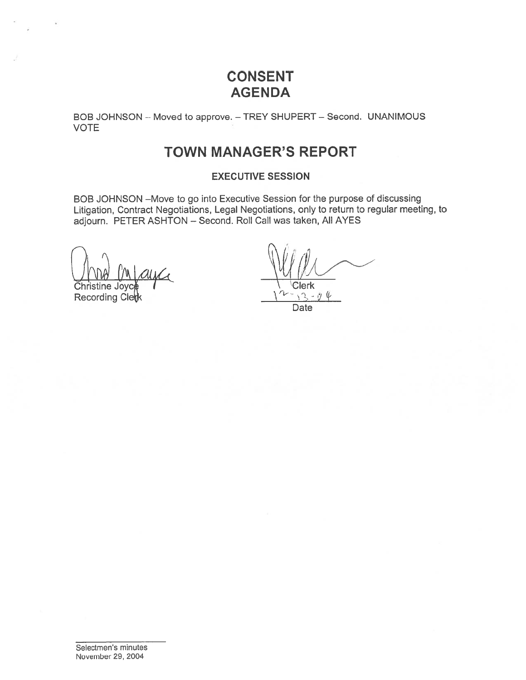## CONSENT AGENDA

BOB JOHNSON — Moved to approve. — TREY SHUPERT — Second. UNANIMOUS VOTE

### TOWN MANAGER'S REPORT

#### EXECUTIVE SESSION

BOB JOHNSON -Move to go into Executive Session for the purpose of discussing Litigation, Contract Negotiations, Legal Negotiations, only to return to regular meeting, to adjourn. PETER ASHTON — Second. Roll Call was taken, All AYES

Christine Joyce (Christine Christian Library Christian Library 1994)<br>Recording Clerk

Recording Clerk

 $\sqrt{2}$  $-$  0 Date

Selectmen's minutes November 29, 2004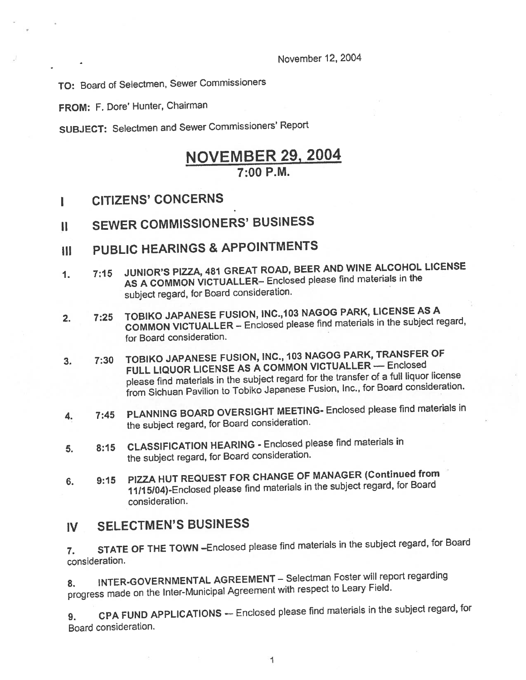November 12, 2004

TO: Board of Selectmen, Sewer Commissioners

FROM: F. Dote' Hunter, Chairman

SUBJECT: Selectmen and Sewer Commissioners' Report

### NOVEMBER 29, 2004 7:00 P.M.

- I CITIZENS' CONCERNS
- II SEWER COMMISSIONERS' BUSINESS
- III PUBLIC HEARINGS & APPOINTMENTS
- 1. 7:15 JUNIOR'S PIZZA, <sup>481</sup> GREAT ROAD, BEER AND WINE ALCOHOL LICENSE AS <sup>A</sup> COMMON VICTUALLER— Enclosed <sup>p</sup>lease find materials in the subject regard, for Board consideration.
- 2. 7:25 TOBIKO JAPANESE FUSION, INC., 103 NAGOG PARK, LICENSE AS A COMMON VICTUALLER — Enclosed <sup>p</sup>lease find materials in the subject regard, for Board consideration.
- 3. 7:30 TOBIKO JAPANESE FUSION, INC., <sup>103</sup> NAGOG PARK, TRANSFER Of FULL LIQUOR LICENSE AS A COMMON VICTUALLER — Enclosed <sup>p</sup>lease find materials in the subject regar<sup>d</sup> for the transfer of <sup>a</sup> full liquor license from Sichuan Pavilion to Tobiko Japanese Fusion, Inc., for Board consideration.
- 4. 7:45 PLANNING BOARD OVERSIGHT MEETING- Enclosed <sup>p</sup>lease find materials in the subject regard, for Board consideration.
- 5. 8:15 CLASSIFICATION HEARING Enclosed <sup>p</sup>lease find materials in the subject regard, for Board consideration.
- 6. 9:15 PIZZA HUT REQUEST FOR CHANGE OF MANAGER (Continued from 11/15/04)-Enclosed <sup>p</sup>lease find materials in the subject regard, for Board consideration.

### IV SELECTMEN'S BUSINESS

7. STATE OF THE TOWN —Enclosed <sup>p</sup>lease find materials in the subject regard, for Board consideration.

8. INTER-GOVERNMENTAL AGREEMENT - Selectman Foster will report regarding progress made on the Inter-Municipal Agreement with respec<sup>t</sup> to Leary Field.

9. CPA FUND APPLICATIONS — Enclosed <sup>p</sup>lease find materials in the subject regard, for Board consideration.

1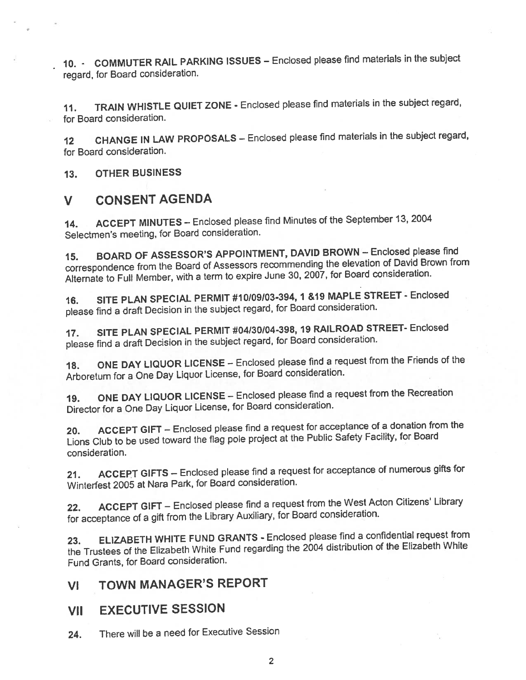10. - COMMUTER RAIL PARKING ISSUES — Enclosed <sup>p</sup>lease find materials in the subject regard, for Board consideration.

11. TRAIN WHISTLE QUIET ZONE - Enclosed <sup>p</sup>lease find materials in the subject regard, for Board consideration.

12 CHANGE IN LAW PROPOSALS - Enclosed please find materials in the subject regard, for Board consideration.

13. OTHER BUSINESS

### V CONSENT AGENDA

14. ACCEPT MINUTES — Enclosed <sup>p</sup>lease find Minutes of the September 13, <sup>2004</sup> Selectmen's meeting, for Board consideration.

15. BOARD OF ASSESSOR'S APPOINTMENT, DAVID BROWN — Enclosed <sup>p</sup>lease find correspondence from the Board of Assessors recommending the elevation of David Brown from Alternate to Full Member, with <sup>a</sup> term to expire June 30, 2007, for Board consideration.

16. SITE PLAN SPECIAL PERMIT #10/09/03-394,1 &19 MAPLE STREET- Enclosed <sup>p</sup>lease find <sup>a</sup> draft Decision in the subject regard, for Board consideration.

17. SITE PLAN SPECIAL PERMIT #04130104-398, <sup>19</sup> RAILROAD STREET- Enclosed <sup>p</sup>lease find <sup>a</sup> draft Decision in the subject regard, for Board consideration.

18. ONE DAY LIQUOR LICENSE — Enclosed <sup>p</sup>lease find <sup>a</sup> reques<sup>t</sup> from the Friends of the Arboretum for <sup>a</sup> One Day Liquor License, for Board consideration.

19. ONE DAY LIQUOR LICENSE — Enclosed <sup>p</sup>lease find <sup>a</sup> reques<sup>t</sup> from the Recreation Director for <sup>a</sup> One Day Liquor License, for Board consideration.

20. ACCEPT GIFT — Enclosed <sup>p</sup>lease find <sup>a</sup> reques<sup>t</sup> for acceptance of <sup>a</sup> donation from the Lions Club to be used toward the flag pole project at the Public Safety Facility, for Board consideration.

21. ACCEPT GIFTS — Enclosed <sup>p</sup>lease find <sup>a</sup> reques<sup>t</sup> for acceptance of numerous <sup>g</sup>ifts for Winterfest <sup>2005</sup> at Nara Park, for Board consideration.

22. ACCEPT GIFT — Enclosed <sup>p</sup>lease find <sup>a</sup> reques<sup>t</sup> from the West Acton Citizens' Library for acceptance of <sup>a</sup> <sup>g</sup>ift from the Library Auxiliary, for Board consideration.

23. ELIZABETH WHITE FUND GRANTS - Enclosed please find a confidential request from the Trustees of the Elizabeth White Fund regarding the <sup>2004</sup> distribution of the Elizabeth White Fund Grants, for Board consideration.

VI TOWN MANAGER'S REPORT

### VII EXECUTIVE SESSION

24. There will be <sup>a</sup> need for Executive Session